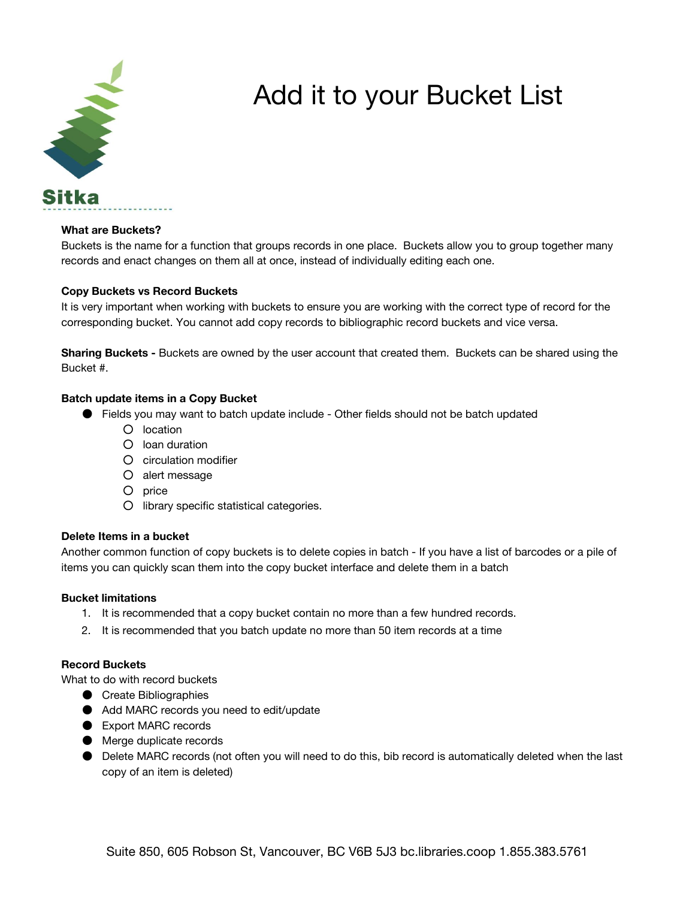

# Add it to your Bucket List

## **What are Buckets?**

Buckets is the name for a function that groups records in one place. Buckets allow you to group together many records and enact changes on them all at once, instead of individually editing each one.

## **Copy Buckets vs Record Buckets**

It is very important when working with buckets to ensure you are working with the correct type of record for the corresponding bucket. You cannot add copy records to bibliographic record buckets and vice versa.

**Sharing Buckets -** Buckets are owned by the user account that created them. Buckets can be shared using the Bucket #.

## **Batch update items in a Copy Bucket**

- Fields you may want to batch update include Other fields should not be batch updated
	- location
	- loan duration
	- circulation modifier
	- alert message
	- price
	- library specific statistical categories.

#### **Delete Items in a bucket**

Another common function of copy buckets is to delete copies in batch - If you have a list of barcodes or a pile of items you can quickly scan them into the copy bucket interface and delete them in a batch

#### **Bucket limitations**

- 1. It is recommended that a copy bucket contain no more than a few hundred records.
- 2. It is recommended that you batch update no more than 50 item records at a time

# **Record Buckets**

What to do with record buckets

- Create Bibliographies
- Add MARC records you need to edit/update
- Export MARC records
- Merge duplicate records
- Delete MARC records (not often you will need to do this, bib record is automatically deleted when the last copy of an item is deleted)